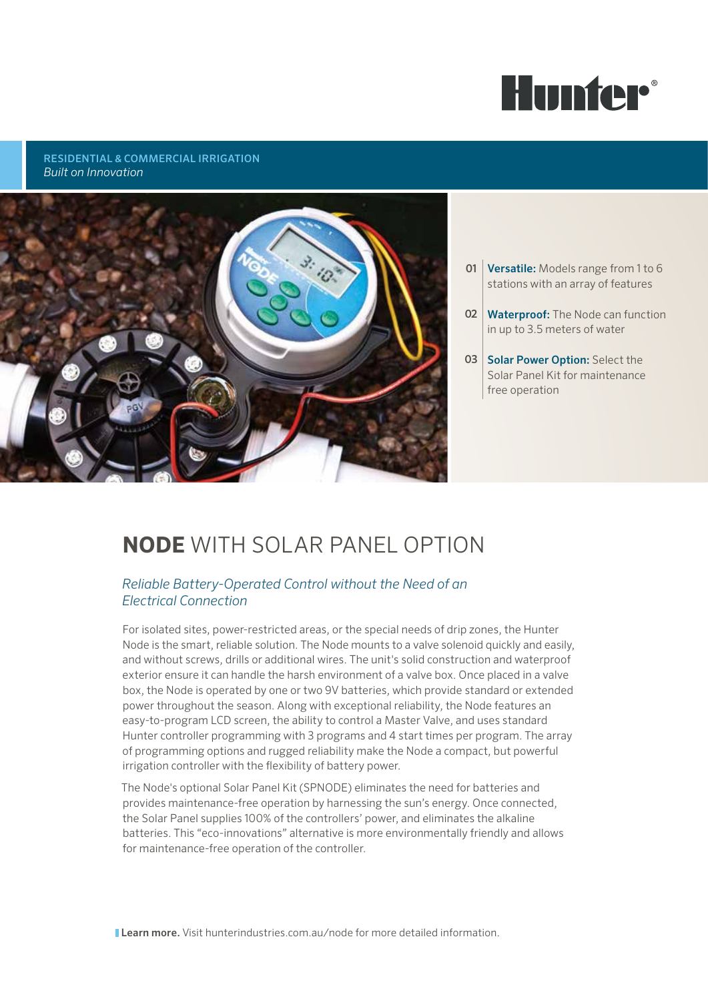

### RESIDENTIAL & COMMERCIAL IRRIGATION *Built on Innovation*



- **01 Versatile:** Models range from 1 to 6 stations with an array of features
- 02 Waterproof: The Node can function in up to 3.5 meters of water
- 03 Solar Power Option: Select the Solar Panel Kit for maintenance free operation

# **NODE** with Solar Panel Option

### *Reliable Battery-Operated Control without the Need of an Electrical Connection*

For isolated sites, power-restricted areas, or the special needs of drip zones, the Hunter Node is the smart, reliable solution. The Node mounts to a valve solenoid quickly and easily, and without screws, drills or additional wires. The unit's solid construction and waterproof exterior ensure it can handle the harsh environment of a valve box. Once placed in a valve box, the Node is operated by one or two 9V batteries, which provide standard or extended power throughout the season. Along with exceptional reliability, the Node features an easy-to-program LCD screen, the ability to control a Master Valve, and uses standard Hunter controller programming with 3 programs and 4 start times per program. The array of programming options and rugged reliability make the Node a compact, but powerful irrigation controller with the flexibility of battery power.

The Node's optional Solar Panel Kit (SPNODE) eliminates the need for batteries and provides maintenance-free operation by harnessing the sun's energy. Once connected, the Solar Panel supplies 100% of the controllers' power, and eliminates the alkaline batteries. This "eco-innovations" alternative is more environmentally friendly and allows for maintenance-free operation of the controller.

**Learn more.** Visit hunterindustries.com.au/node for more detailed information